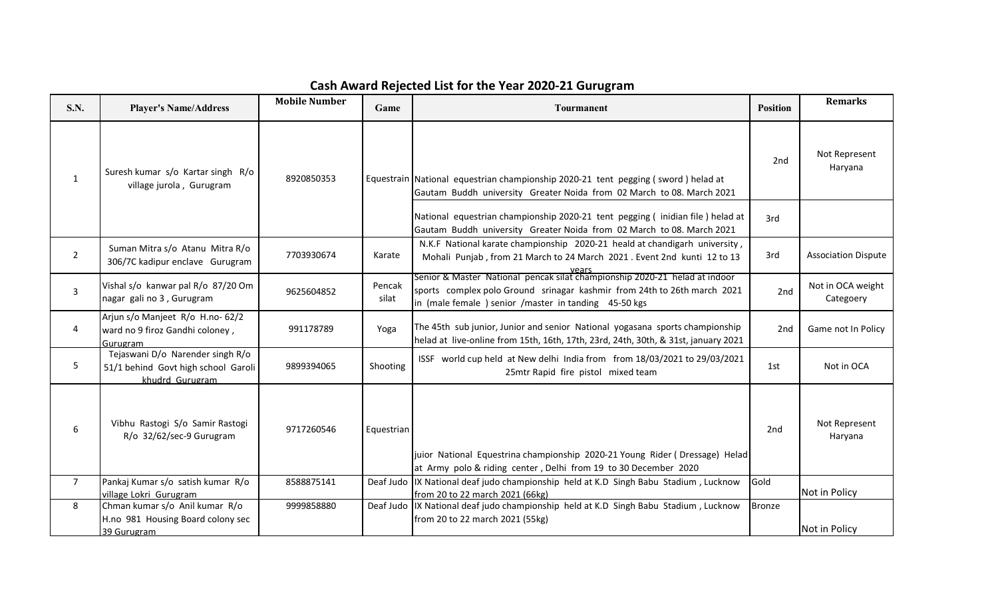| <b>S.N.</b>    | <b>Player's Name/Address</b>                                                               | <b>Mobile Number</b> | Game            | <b>Tourmanent</b>                                                                                                                                                                                              | <b>Position</b> | <b>Remarks</b>                 |
|----------------|--------------------------------------------------------------------------------------------|----------------------|-----------------|----------------------------------------------------------------------------------------------------------------------------------------------------------------------------------------------------------------|-----------------|--------------------------------|
| $\mathbf{1}$   | Suresh kumar s/o Kartar singh R/o<br>village jurola, Gurugram                              | 8920850353           |                 | Equestrain National equestrian championship 2020-21 tent pegging (sword) helad at<br>Gautam Buddh university Greater Noida from 02 March to 08. March 2021                                                     | 2nd             | Not Represent<br>Haryana       |
|                |                                                                                            |                      |                 | National equestrian championship 2020-21 tent pegging (inidian file) helad at<br>Gautam Buddh university Greater Noida from 02 March to 08. March 2021                                                         | 3rd             |                                |
| $\overline{2}$ | Suman Mitra s/o Atanu Mitra R/o<br>306/7C kadipur enclave Gurugram                         | 7703930674           | Karate          | N.K.F National karate championship 2020-21 heald at chandigarh university,<br>Mohali Punjab, from 21 March to 24 March 2021. Event 2nd kunti 12 to 13<br>vears                                                 | 3rd             | <b>Association Dispute</b>     |
| 3              | Vishal s/o kanwar pal R/o 87/20 Om<br>nagar gali no 3, Gurugram                            | 9625604852           | Pencak<br>silat | Senior & Master National pencak silat championship 2020-21 helad at indoor<br>sports complex polo Ground srinagar kashmir from 24th to 26th march 2021<br>in (male female) senior /master in tanding 45-50 kgs | 2nd             | Not in OCA weight<br>Categoery |
| 4              | Arjun s/o Manjeet R/o H.no- 62/2<br>ward no 9 firoz Gandhi coloney,<br>Gurugram            | 991178789            | Yoga            | The 45th sub junior, Junior and senior National yogasana sports championship<br>helad at live-online from 15th, 16th, 17th, 23rd, 24th, 30th, & 31st, january 2021                                             | 2nd             | Game not In Policy             |
| 5              | Tejaswani D/o Narender singh R/o<br>51/1 behind Govt high school Garoli<br>khudrd Gurugram | 9899394065           | Shooting        | ISSF world cup held at New delhi India from from 18/03/2021 to 29/03/2021<br>25mtr Rapid fire pistol mixed team                                                                                                | 1st             | Not in OCA                     |
| 6              | Vibhu Rastogi S/o Samir Rastogi<br>R/o 32/62/sec-9 Gurugram                                | 9717260546           | Equestrian      | juior National Equestrina championship 2020-21 Young Rider (Dressage) Helad<br>at Army polo & riding center, Delhi from 19 to 30 December 2020                                                                 | 2nd             | Not Represent<br>Haryana       |
| $\overline{7}$ | Pankaj Kumar s/o satish kumar R/o<br>village Lokri Gurugram                                | 8588875141           |                 | Deaf Judo  IX National deaf judo championship held at K.D Singh Babu Stadium, Lucknow<br>from 20 to 22 march 2021 (66kg)                                                                                       | Gold            | Not in Policy                  |
| 8              | Chman kumar s/o Anil kumar R/o<br>H.no 981 Housing Board colony sec<br>39 Gurugram         | 9999858880           |                 | Deaf Judo  IX National deaf judo championship held at K.D Singh Babu Stadium, Lucknow<br>from 20 to 22 march 2021 (55kg)                                                                                       | <b>Bronze</b>   | Not in Policy                  |

## Cash Award Rejected List for the Year 2020-21 Gurugram